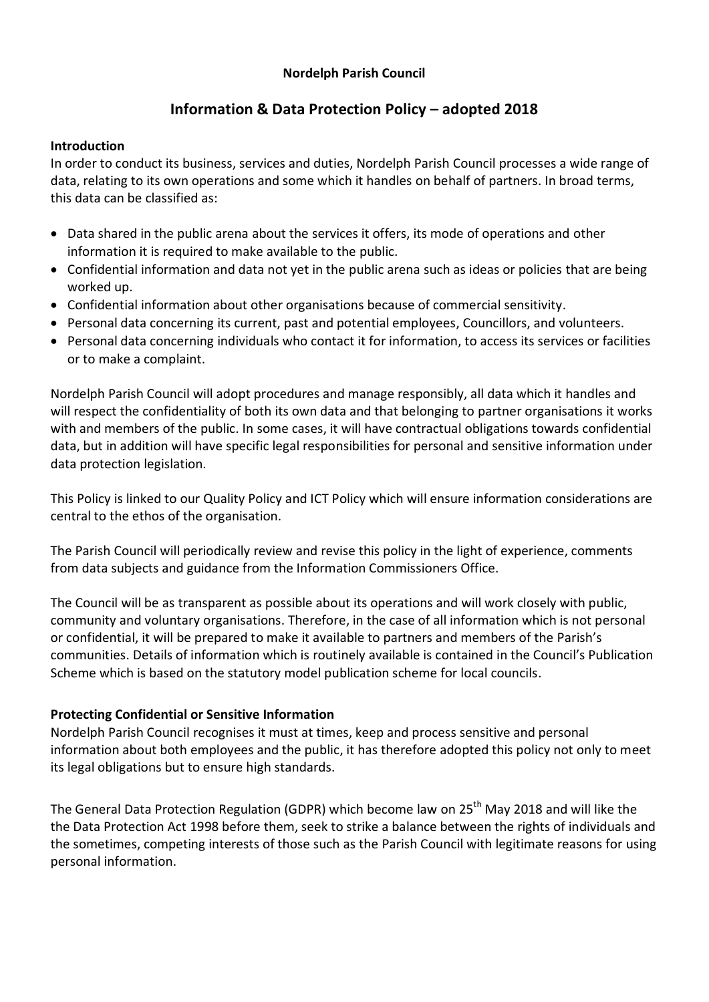## **Nordelph Parish Council**

# **Information & Data Protection Policy – adopted 2018**

#### **Introduction**

In order to conduct its business, services and duties, Nordelph Parish Council processes a wide range of data, relating to its own operations and some which it handles on behalf of partners. In broad terms, this data can be classified as:

- Data shared in the public arena about the services it offers, its mode of operations and other information it is required to make available to the public.
- Confidential information and data not yet in the public arena such as ideas or policies that are being worked up.
- Confidential information about other organisations because of commercial sensitivity.
- Personal data concerning its current, past and potential employees, Councillors, and volunteers.
- Personal data concerning individuals who contact it for information, to access its services or facilities or to make a complaint.

Nordelph Parish Council will adopt procedures and manage responsibly, all data which it handles and will respect the confidentiality of both its own data and that belonging to partner organisations it works with and members of the public. In some cases, it will have contractual obligations towards confidential data, but in addition will have specific legal responsibilities for personal and sensitive information under data protection legislation.

This Policy is linked to our Quality Policy and ICT Policy which will ensure information considerations are central to the ethos of the organisation.

The Parish Council will periodically review and revise this policy in the light of experience, comments from data subjects and guidance from the Information Commissioners Office.

The Council will be as transparent as possible about its operations and will work closely with public, community and voluntary organisations. Therefore, in the case of all information which is not personal or confidential, it will be prepared to make it available to partners and members of the Parish's communities. Details of information which is routinely available is contained in the Council's Publication Scheme which is based on the statutory model publication scheme for local councils.

## **Protecting Confidential or Sensitive Information**

Nordelph Parish Council recognises it must at times, keep and process sensitive and personal information about both employees and the public, it has therefore adopted this policy not only to meet its legal obligations but to ensure high standards.

The General Data Protection Regulation (GDPR) which become law on 25<sup>th</sup> May 2018 and will like the the Data Protection Act 1998 before them, seek to strike a balance between the rights of individuals and the sometimes, competing interests of those such as the Parish Council with legitimate reasons for using personal information.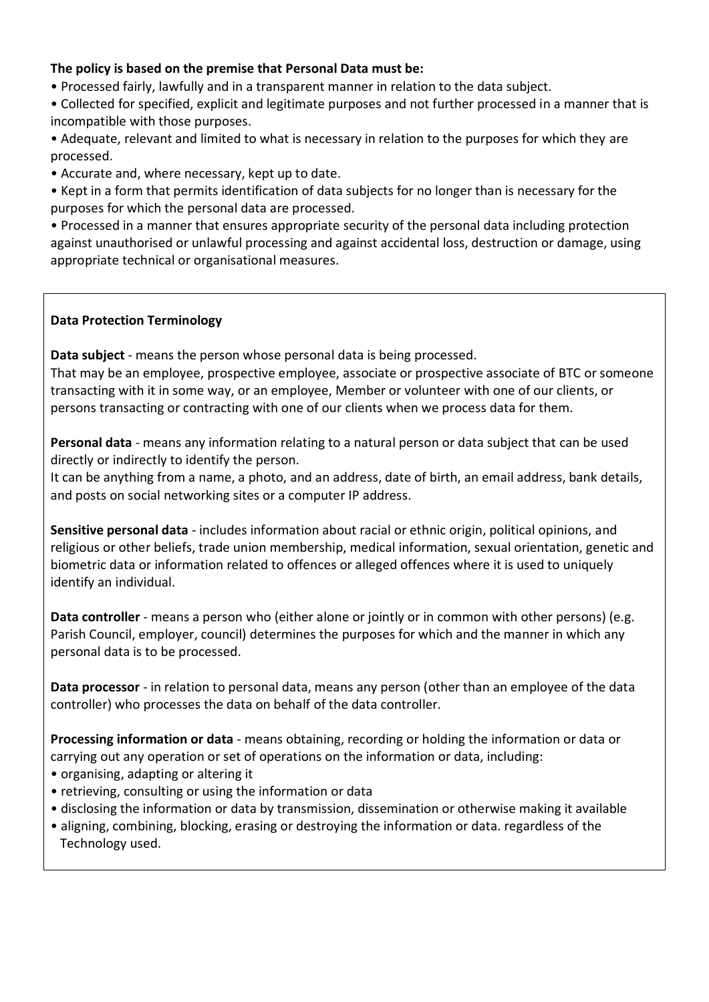## **The policy is based on the premise that Personal Data must be:**

• Processed fairly, lawfully and in a transparent manner in relation to the data subject.

• Collected for specified, explicit and legitimate purposes and not further processed in a manner that is incompatible with those purposes.

• Adequate, relevant and limited to what is necessary in relation to the purposes for which they are processed.

• Accurate and, where necessary, kept up to date.

• Kept in a form that permits identification of data subjects for no longer than is necessary for the purposes for which the personal data are processed.

• Processed in a manner that ensures appropriate security of the personal data including protection against unauthorised or unlawful processing and against accidental loss, destruction or damage, using appropriate technical or organisational measures.

## **Data Protection Terminology**

**Data subject** - means the person whose personal data is being processed.

That may be an employee, prospective employee, associate or prospective associate of BTC or someone transacting with it in some way, or an employee, Member or volunteer with one of our clients, or persons transacting or contracting with one of our clients when we process data for them.

**Personal data** - means any information relating to a natural person or data subject that can be used directly or indirectly to identify the person.

It can be anything from a name, a photo, and an address, date of birth, an email address, bank details, and posts on social networking sites or a computer IP address.

**Sensitive personal data** - includes information about racial or ethnic origin, political opinions, and religious or other beliefs, trade union membership, medical information, sexual orientation, genetic and biometric data or information related to offences or alleged offences where it is used to uniquely identify an individual.

**Data controller** - means a person who (either alone or jointly or in common with other persons) (e.g. Parish Council, employer, council) determines the purposes for which and the manner in which any personal data is to be processed.

**Data processor** - in relation to personal data, means any person (other than an employee of the data controller) who processes the data on behalf of the data controller.

**Processing information or data** - means obtaining, recording or holding the information or data or carrying out any operation or set of operations on the information or data, including:

- organising, adapting or altering it
- retrieving, consulting or using the information or data
- disclosing the information or data by transmission, dissemination or otherwise making it available
- aligning, combining, blocking, erasing or destroying the information or data. regardless of the Technology used.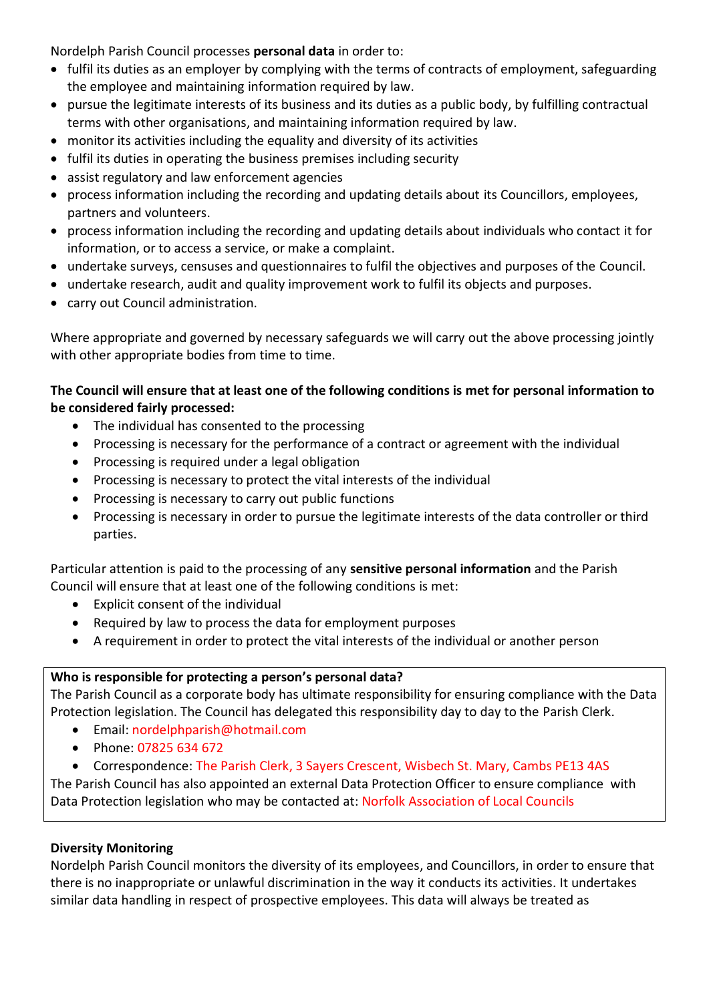Nordelph Parish Council processes **personal data** in order to:

- fulfil its duties as an employer by complying with the terms of contracts of employment, safeguarding the employee and maintaining information required by law.
- pursue the legitimate interests of its business and its duties as a public body, by fulfilling contractual terms with other organisations, and maintaining information required by law.
- monitor its activities including the equality and diversity of its activities
- fulfil its duties in operating the business premises including security
- assist regulatory and law enforcement agencies
- process information including the recording and updating details about its Councillors, employees, partners and volunteers.
- process information including the recording and updating details about individuals who contact it for information, or to access a service, or make a complaint.
- undertake surveys, censuses and questionnaires to fulfil the objectives and purposes of the Council.
- undertake research, audit and quality improvement work to fulfil its objects and purposes.
- carry out Council administration.

Where appropriate and governed by necessary safeguards we will carry out the above processing jointly with other appropriate bodies from time to time.

## **The Council will ensure that at least one of the following conditions is met for personal information to be considered fairly processed:**

- The individual has consented to the processing
- Processing is necessary for the performance of a contract or agreement with the individual
- Processing is required under a legal obligation
- Processing is necessary to protect the vital interests of the individual
- Processing is necessary to carry out public functions
- Processing is necessary in order to pursue the legitimate interests of the data controller or third parties.

Particular attention is paid to the processing of any **sensitive personal information** and the Parish Council will ensure that at least one of the following conditions is met:

- Explicit consent of the individual
- Required by law to process the data for employment purposes
- A requirement in order to protect the vital interests of the individual or another person

# **Who is responsible for protecting a person's personal data?**

The Parish Council as a corporate body has ultimate responsibility for ensuring compliance with the Data Protection legislation. The Council has delegated this responsibility day to day to the Parish Clerk.

- Email: nordelphparish@hotmail.com
- Phone: 07825 634 672
- Correspondence: The Parish Clerk, 3 Sayers Crescent, Wisbech St. Mary, Cambs PE13 4AS

The Parish Council has also appointed an external Data Protection Officer to ensure compliance with Data Protection legislation who may be contacted at: Norfolk Association of Local Councils

# **Diversity Monitoring**

Nordelph Parish Council monitors the diversity of its employees, and Councillors, in order to ensure that there is no inappropriate or unlawful discrimination in the way it conducts its activities. It undertakes similar data handling in respect of prospective employees. This data will always be treated as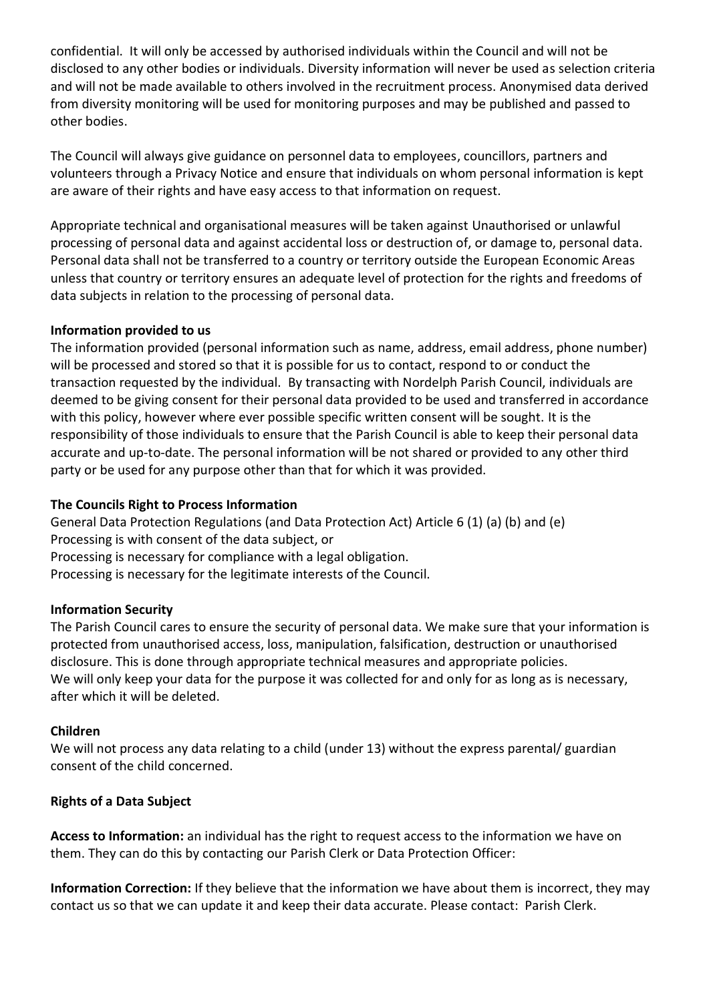confidential. It will only be accessed by authorised individuals within the Council and will not be disclosed to any other bodies or individuals. Diversity information will never be used as selection criteria and will not be made available to others involved in the recruitment process. Anonymised data derived from diversity monitoring will be used for monitoring purposes and may be published and passed to other bodies.

The Council will always give guidance on personnel data to employees, councillors, partners and volunteers through a Privacy Notice and ensure that individuals on whom personal information is kept are aware of their rights and have easy access to that information on request.

Appropriate technical and organisational measures will be taken against Unauthorised or unlawful processing of personal data and against accidental loss or destruction of, or damage to, personal data. Personal data shall not be transferred to a country or territory outside the European Economic Areas unless that country or territory ensures an adequate level of protection for the rights and freedoms of data subjects in relation to the processing of personal data.

### **Information provided to us**

The information provided (personal information such as name, address, email address, phone number) will be processed and stored so that it is possible for us to contact, respond to or conduct the transaction requested by the individual. By transacting with Nordelph Parish Council, individuals are deemed to be giving consent for their personal data provided to be used and transferred in accordance with this policy, however where ever possible specific written consent will be sought. It is the responsibility of those individuals to ensure that the Parish Council is able to keep their personal data accurate and up-to-date. The personal information will be not shared or provided to any other third party or be used for any purpose other than that for which it was provided.

#### **The Councils Right to Process Information**

General Data Protection Regulations (and Data Protection Act) Article 6 (1) (a) (b) and (e) Processing is with consent of the data subject, or Processing is necessary for compliance with a legal obligation. Processing is necessary for the legitimate interests of the Council.

#### **Information Security**

The Parish Council cares to ensure the security of personal data. We make sure that your information is protected from unauthorised access, loss, manipulation, falsification, destruction or unauthorised disclosure. This is done through appropriate technical measures and appropriate policies. We will only keep your data for the purpose it was collected for and only for as long as is necessary, after which it will be deleted.

#### **Children**

We will not process any data relating to a child (under 13) without the express parental/ guardian consent of the child concerned.

## **Rights of a Data Subject**

**Access to Information:** an individual has the right to request access to the information we have on them. They can do this by contacting our Parish Clerk or Data Protection Officer:

**Information Correction:** If they believe that the information we have about them is incorrect, they may contact us so that we can update it and keep their data accurate. Please contact: Parish Clerk.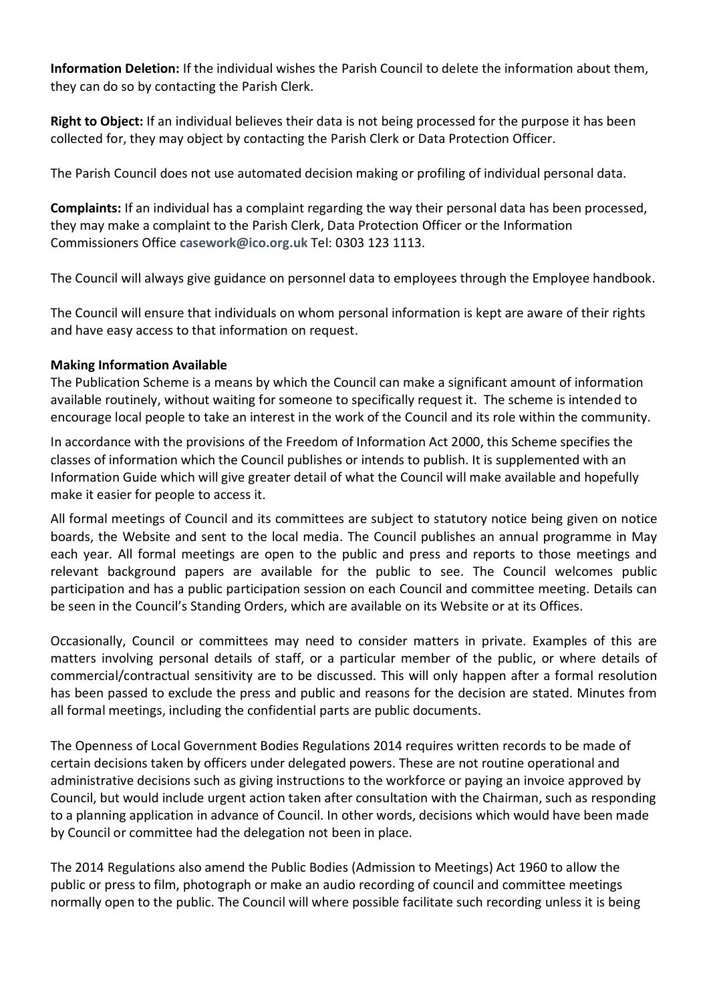**Information Deletion:** If the individual wishes the Parish Council to delete the information about them, they can do so by contacting the Parish Clerk.

**Right to Object:** If an individual believes their data is not being processed for the purpose it has been collected for, they may object by contacting the Parish Clerk or Data Protection Officer.

The Parish Council does not use automated decision making or profiling of individual personal data.

**Complaints:** If an individual has a complaint regarding the way their personal data has been processed, they may make a complaint to the Parish Clerk, Data Protection Officer or the Information Commissioners Office **[casework@ico.org.uk](mailto:casework@ico.org.uk)** Tel: 0303 123 1113.

The Council will always give guidance on personnel data to employees through the Employee handbook.

The Council will ensure that individuals on whom personal information is kept are aware of their rights and have easy access to that information on request.

## **Making Information Available**

The Publication Scheme is a means by which the Council can make a significant amount of information available routinely, without waiting for someone to specifically request it. The scheme is intended to encourage local people to take an interest in the work of the Council and its role within the community.

In accordance with the provisions of the Freedom of Information Act 2000, this Scheme specifies the classes of information which the Council publishes or intends to publish. It is supplemented with an Information Guide which will give greater detail of what the Council will make available and hopefully make it easier for people to access it.

All formal meetings of Council and its committees are subject to statutory notice being given on notice boards, the Website and sent to the local media. The Council publishes an annual programme in May each year. All formal meetings are open to the public and press and reports to those meetings and relevant background papers are available for the public to see. The Council welcomes public participation and has a public participation session on each Council and committee meeting. Details can be seen in the Council's Standing Orders, which are available on its Website or at its Offices.

Occasionally, Council or committees may need to consider matters in private. Examples of this are matters involving personal details of staff, or a particular member of the public, or where details of commercial/contractual sensitivity are to be discussed. This will only happen after a formal resolution has been passed to exclude the press and public and reasons for the decision are stated. Minutes from all formal meetings, including the confidential parts are public documents.

The Openness of Local Government Bodies Regulations 2014 requires written records to be made of certain decisions taken by officers under delegated powers. These are not routine operational and administrative decisions such as giving instructions to the workforce or paying an invoice approved by Council, but would include urgent action taken after consultation with the Chairman, such as responding to a planning application in advance of Council. In other words, decisions which would have been made by Council or committee had the delegation not been in place.

The 2014 Regulations also amend the Public Bodies (Admission to Meetings) Act 1960 to allow the public or press to film, photograph or make an audio recording of council and committee meetings normally open to the public. The Council will where possible facilitate such recording unless it is being